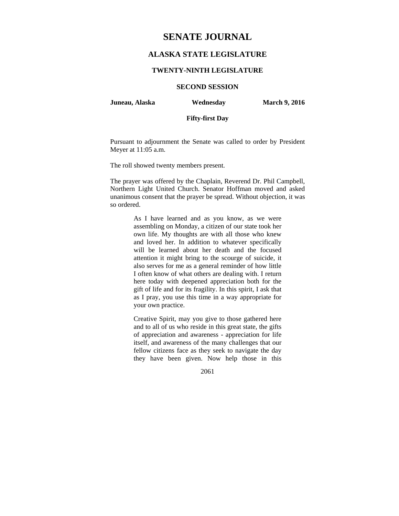# **SENATE JOURNAL**

# **ALASKA STATE LEGISLATURE**

#### **TWENTY-NINTH LEGISLATURE**

**SECOND SESSION** 

**Juneau, Alaska Wednesday March 9, 2016** 

# **Fifty-first Day**

Pursuant to adjournment the Senate was called to order by President Meyer at 11:05 a.m.

The roll showed twenty members present.

The prayer was offered by the Chaplain, Reverend Dr. Phil Campbell, Northern Light United Church. Senator Hoffman moved and asked unanimous consent that the prayer be spread. Without objection, it was so ordered.

> As I have learned and as you know, as we were assembling on Monday, a citizen of our state took her own life. My thoughts are with all those who knew and loved her. In addition to whatever specifically will be learned about her death and the focused attention it might bring to the scourge of suicide, it also serves for me as a general reminder of how little I often know of what others are dealing with. I return here today with deepened appreciation both for the gift of life and for its fragility. In this spirit, I ask that as I pray, you use this time in a way appropriate for your own practice.

> Creative Spirit, may you give to those gathered here and to all of us who reside in this great state, the gifts of appreciation and awareness - appreciation for life itself, and awareness of the many challenges that our fellow citizens face as they seek to navigate the day they have been given. Now help those in this

> > 2061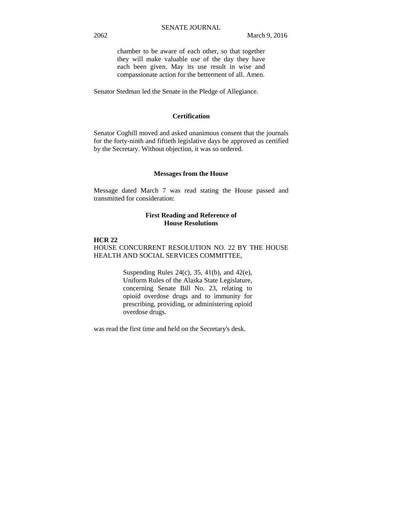chamber to be aware of each other, so that together they will make valuable use of the day they have each been given. May its use result in wise and compassionate action for the betterment of all. Amen.

Senator Stedman led the Senate in the Pledge of Allegiance.

## **Certification**

Senator Coghill moved and asked unanimous consent that the journals for the forty-ninth and fiftieth legislative days be approved as certified by the Secretary. Without objection, it was so ordered.

#### **Messages from the House**

Message dated March 7 was read stating the House passed and transmitted for consideration:

## **First Reading and Reference of House Resolutions**

# **HCR 22**

HOUSE CONCURRENT RESOLUTION NO. 22 BY THE HOUSE HEALTH AND SOCIAL SERVICES COMMITTEE,

> Suspending Rules 24(c), 35, 41(b), and 42(e), Uniform Rules of the Alaska State Legislature, concerning Senate Bill No. 23, relating to opioid overdose drugs and to immunity for prescribing, providing, or administering opioid overdose drugs.

was read the first time and held on the Secretary's desk.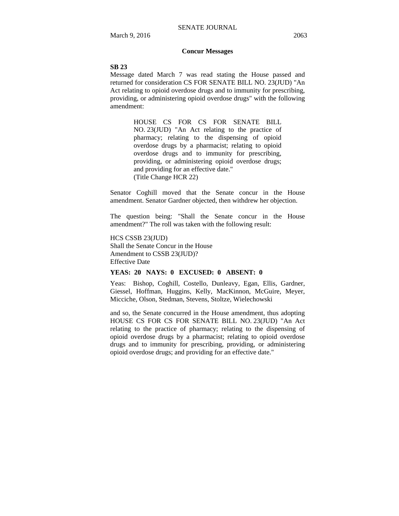## **Concur Messages**

#### **SB 23**

Message dated March 7 was read stating the House passed and returned for consideration CS FOR SENATE BILL NO. 23(JUD) "An Act relating to opioid overdose drugs and to immunity for prescribing, providing, or administering opioid overdose drugs" with the following amendment:

> HOUSE CS FOR CS FOR SENATE BILL NO. 23(JUD) "An Act relating to the practice of pharmacy; relating to the dispensing of opioid overdose drugs by a pharmacist; relating to opioid overdose drugs and to immunity for prescribing, providing, or administering opioid overdose drugs; and providing for an effective date." (Title Change HCR 22)

Senator Coghill moved that the Senate concur in the House amendment. Senator Gardner objected, then withdrew her objection.

The question being: "Shall the Senate concur in the House amendment?" The roll was taken with the following result:

HCS CSSB 23(JUD) Shall the Senate Concur in the House Amendment to CSSB 23(JUD)? Effective Date

#### **YEAS: 20 NAYS: 0 EXCUSED: 0 ABSENT: 0**

Yeas: Bishop, Coghill, Costello, Dunleavy, Egan, Ellis, Gardner, Giessel, Hoffman, Huggins, Kelly, MacKinnon, McGuire, Meyer, Micciche, Olson, Stedman, Stevens, Stoltze, Wielechowski

and so, the Senate concurred in the House amendment, thus adopting HOUSE CS FOR CS FOR SENATE BILL NO. 23(JUD) "An Act relating to the practice of pharmacy; relating to the dispensing of opioid overdose drugs by a pharmacist; relating to opioid overdose drugs and to immunity for prescribing, providing, or administering opioid overdose drugs; and providing for an effective date."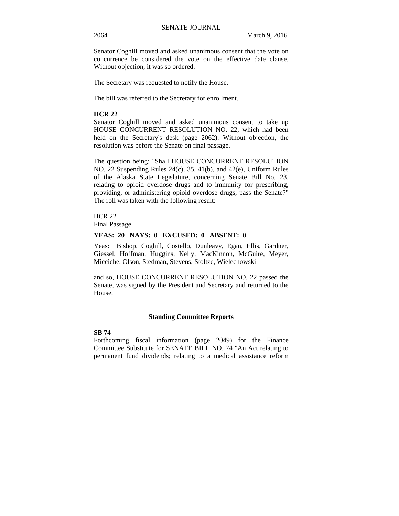Senator Coghill moved and asked unanimous consent that the vote on concurrence be considered the vote on the effective date clause. Without objection, it was so ordered.

The Secretary was requested to notify the House.

The bill was referred to the Secretary for enrollment.

#### **HCR 22**

Senator Coghill moved and asked unanimous consent to take up HOUSE CONCURRENT RESOLUTION NO. 22, which had been held on the Secretary's desk (page 2062). Without objection, the resolution was before the Senate on final passage.

The question being: "Shall HOUSE CONCURRENT RESOLUTION NO. 22 Suspending Rules 24(c), 35, 41(b), and 42(e), Uniform Rules of the Alaska State Legislature, concerning Senate Bill No. 23, relating to opioid overdose drugs and to immunity for prescribing, providing, or administering opioid overdose drugs, pass the Senate?" The roll was taken with the following result:

**HCR 22** Final Passage

#### **YEAS: 20 NAYS: 0 EXCUSED: 0 ABSENT: 0**

Yeas: Bishop, Coghill, Costello, Dunleavy, Egan, Ellis, Gardner, Giessel, Hoffman, Huggins, Kelly, MacKinnon, McGuire, Meyer, Micciche, Olson, Stedman, Stevens, Stoltze, Wielechowski

and so, HOUSE CONCURRENT RESOLUTION NO. 22 passed the Senate, was signed by the President and Secretary and returned to the House.

#### **Standing Committee Reports**

#### **SB 74**

Forthcoming fiscal information (page 2049) for the Finance Committee Substitute for SENATE BILL NO. 74 "An Act relating to permanent fund dividends; relating to a medical assistance reform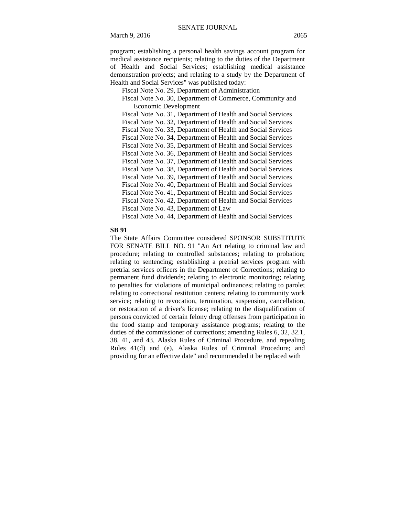March 9, 2016 2065

program; establishing a personal health savings account program for medical assistance recipients; relating to the duties of the Department of Health and Social Services; establishing medical assistance demonstration projects; and relating to a study by the Department of Health and Social Services" was published today:

Fiscal Note No. 29, Department of Administration

 Fiscal Note No. 30, Department of Commerce, Community and Economic Development

 Fiscal Note No. 31, Department of Health and Social Services Fiscal Note No. 32, Department of Health and Social Services Fiscal Note No. 33, Department of Health and Social Services Fiscal Note No. 34, Department of Health and Social Services Fiscal Note No. 35, Department of Health and Social Services Fiscal Note No. 36, Department of Health and Social Services Fiscal Note No. 37, Department of Health and Social Services Fiscal Note No. 38, Department of Health and Social Services Fiscal Note No. 39, Department of Health and Social Services Fiscal Note No. 40, Department of Health and Social Services Fiscal Note No. 41, Department of Health and Social Services Fiscal Note No. 42, Department of Health and Social Services Fiscal Note No. 43, Department of Law

Fiscal Note No. 44, Department of Health and Social Services

#### **SB 91**

The State Affairs Committee considered SPONSOR SUBSTITUTE FOR SENATE BILL NO. 91 "An Act relating to criminal law and procedure; relating to controlled substances; relating to probation; relating to sentencing; establishing a pretrial services program with pretrial services officers in the Department of Corrections; relating to permanent fund dividends; relating to electronic monitoring; relating to penalties for violations of municipal ordinances; relating to parole; relating to correctional restitution centers; relating to community work service; relating to revocation, termination, suspension, cancellation, or restoration of a driver's license; relating to the disqualification of persons convicted of certain felony drug offenses from participation in the food stamp and temporary assistance programs; relating to the duties of the commissioner of corrections; amending Rules 6, 32, 32.1, 38, 41, and 43, Alaska Rules of Criminal Procedure, and repealing Rules 41(d) and (e), Alaska Rules of Criminal Procedure; and providing for an effective date" and recommended it be replaced with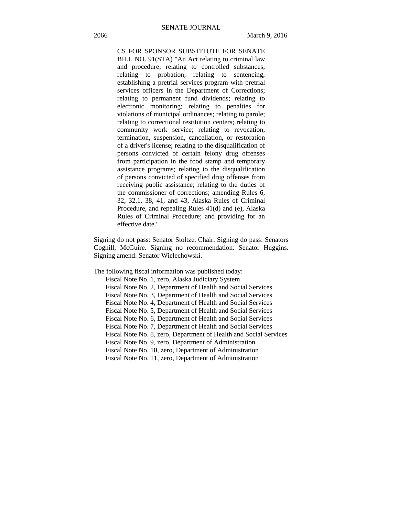# CS FOR SPONSOR SUBSTITUTE FOR SENATE BILL NO. 91(STA) "An Act relating to criminal law and procedure; relating to controlled substances; relating to probation; relating to sentencing; establishing a pretrial services program with pretrial services officers in the Department of Corrections; relating to permanent fund dividends; relating to electronic monitoring; relating to penalties for violations of municipal ordinances; relating to parole; relating to correctional restitution centers; relating to community work service; relating to revocation, termination, suspension, cancellation, or restoration of a driver's license; relating to the disqualification of persons convicted of certain felony drug offenses from participation in the food stamp and temporary assistance programs; relating to the disqualification of persons convicted of specified drug offenses from receiving public assistance; relating to the duties of the commissioner of corrections; amending Rules 6, 32, 32.1, 38, 41, and 43, Alaska Rules of Criminal Procedure, and repealing Rules 41(d) and (e), Alaska Rules of Criminal Procedure; and providing for an effective date."

Signing do not pass: Senator Stoltze, Chair. Signing do pass: Senators Coghill, McGuire. Signing no recommendation: Senator Huggins. Signing amend: Senator Wielechowski.

The following fiscal information was published today:

Fiscal Note No. 1, zero, Alaska Judiciary System

Fiscal Note No. 2, Department of Health and Social Services

Fiscal Note No. 3, Department of Health and Social Services

Fiscal Note No. 4, Department of Health and Social Services

Fiscal Note No. 5, Department of Health and Social Services

Fiscal Note No. 6, Department of Health and Social Services

Fiscal Note No. 7, Department of Health and Social Services

Fiscal Note No. 8, zero, Department of Health and Social Services

Fiscal Note No. 9, zero, Department of Administration

Fiscal Note No. 10, zero, Department of Administration

Fiscal Note No. 11, zero, Department of Administration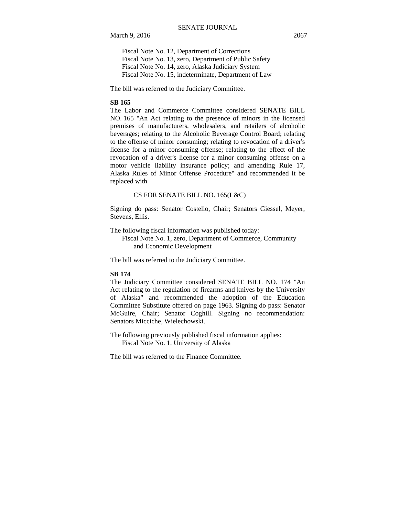Fiscal Note No. 12, Department of Corrections Fiscal Note No. 13, zero, Department of Public Safety Fiscal Note No. 14, zero, Alaska Judiciary System Fiscal Note No. 15, indeterminate, Department of Law

The bill was referred to the Judiciary Committee.

#### **SB 165**

The Labor and Commerce Committee considered SENATE BILL NO. 165 "An Act relating to the presence of minors in the licensed premises of manufacturers, wholesalers, and retailers of alcoholic beverages; relating to the Alcoholic Beverage Control Board; relating to the offense of minor consuming; relating to revocation of a driver's license for a minor consuming offense; relating to the effect of the revocation of a driver's license for a minor consuming offense on a motor vehicle liability insurance policy; and amending Rule 17, Alaska Rules of Minor Offense Procedure" and recommended it be replaced with

#### CS FOR SENATE BILL NO. 165(L&C)

Signing do pass: Senator Costello, Chair; Senators Giessel, Meyer, Stevens, Ellis.

The following fiscal information was published today:

Fiscal Note No. 1, zero, Department of Commerce, Community and Economic Development

The bill was referred to the Judiciary Committee.

#### **SB 174**

The Judiciary Committee considered SENATE BILL NO. 174 "An Act relating to the regulation of firearms and knives by the University of Alaska" and recommended the adoption of the Education Committee Substitute offered on page 1963. Signing do pass: Senator McGuire, Chair; Senator Coghill. Signing no recommendation: Senators Micciche, Wielechowski.

The following previously published fiscal information applies: Fiscal Note No. 1, University of Alaska

The bill was referred to the Finance Committee.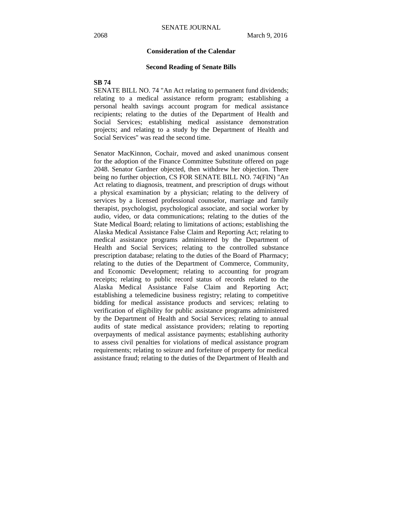#### **Consideration of the Calendar**

#### **Second Reading of Senate Bills**

#### **SB 74**

SENATE BILL NO. 74 "An Act relating to permanent fund dividends; relating to a medical assistance reform program; establishing a personal health savings account program for medical assistance recipients; relating to the duties of the Department of Health and Social Services; establishing medical assistance demonstration projects; and relating to a study by the Department of Health and Social Services" was read the second time.

Senator MacKinnon, Cochair, moved and asked unanimous consent for the adoption of the Finance Committee Substitute offered on page 2048. Senator Gardner objected, then withdrew her objection. There being no further objection, CS FOR SENATE BILL NO. 74(FIN) "An Act relating to diagnosis, treatment, and prescription of drugs without a physical examination by a physician; relating to the delivery of services by a licensed professional counselor, marriage and family therapist, psychologist, psychological associate, and social worker by audio, video, or data communications; relating to the duties of the State Medical Board; relating to limitations of actions; establishing the Alaska Medical Assistance False Claim and Reporting Act; relating to medical assistance programs administered by the Department of Health and Social Services; relating to the controlled substance prescription database; relating to the duties of the Board of Pharmacy; relating to the duties of the Department of Commerce, Community, and Economic Development; relating to accounting for program receipts; relating to public record status of records related to the Alaska Medical Assistance False Claim and Reporting Act; establishing a telemedicine business registry; relating to competitive bidding for medical assistance products and services; relating to verification of eligibility for public assistance programs administered by the Department of Health and Social Services; relating to annual audits of state medical assistance providers; relating to reporting overpayments of medical assistance payments; establishing authority to assess civil penalties for violations of medical assistance program requirements; relating to seizure and forfeiture of property for medical assistance fraud; relating to the duties of the Department of Health and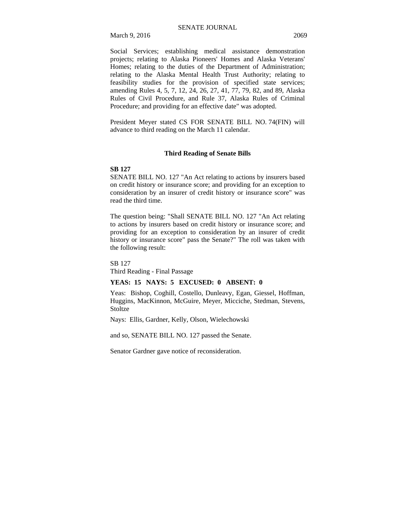March 9, 2016 2069

Social Services; establishing medical assistance demonstration projects; relating to Alaska Pioneers' Homes and Alaska Veterans' Homes; relating to the duties of the Department of Administration; relating to the Alaska Mental Health Trust Authority; relating to feasibility studies for the provision of specified state services; amending Rules 4, 5, 7, 12, 24, 26, 27, 41, 77, 79, 82, and 89, Alaska Rules of Civil Procedure, and Rule 37, Alaska Rules of Criminal Procedure; and providing for an effective date" was adopted.

President Meyer stated CS FOR SENATE BILL NO. 74(FIN) will advance to third reading on the March 11 calendar.

#### **Third Reading of Senate Bills**

#### **SB 127**

SENATE BILL NO. 127 "An Act relating to actions by insurers based on credit history or insurance score; and providing for an exception to consideration by an insurer of credit history or insurance score" was read the third time.

The question being: "Shall SENATE BILL NO. 127 "An Act relating to actions by insurers based on credit history or insurance score; and providing for an exception to consideration by an insurer of credit history or insurance score" pass the Senate?" The roll was taken with the following result:

SB 127

Third Reading - Final Passage

### **YEAS: 15 NAYS: 5 EXCUSED: 0 ABSENT: 0**

Yeas: Bishop, Coghill, Costello, Dunleavy, Egan, Giessel, Hoffman, Huggins, MacKinnon, McGuire, Meyer, Micciche, Stedman, Stevens, Stoltze

Nays: Ellis, Gardner, Kelly, Olson, Wielechowski

and so, SENATE BILL NO. 127 passed the Senate.

Senator Gardner gave notice of reconsideration.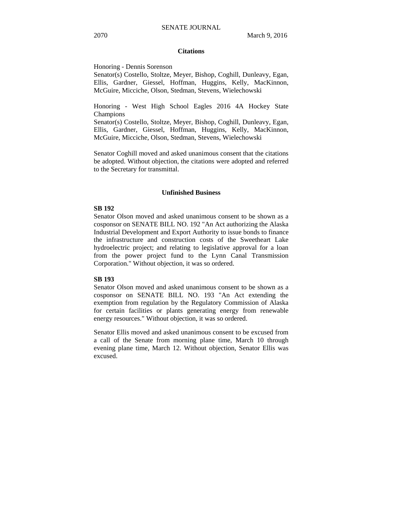#### **Citations**

Honoring - Dennis Sorenson

Senator(s) Costello, Stoltze, Meyer, Bishop, Coghill, Dunleavy, Egan, Ellis, Gardner, Giessel, Hoffman, Huggins, Kelly, MacKinnon, McGuire, Micciche, Olson, Stedman, Stevens, Wielechowski

Honoring - West High School Eagles 2016 4A Hockey State Champions

Senator(s) Costello, Stoltze, Meyer, Bishop, Coghill, Dunleavy, Egan, Ellis, Gardner, Giessel, Hoffman, Huggins, Kelly, MacKinnon, McGuire, Micciche, Olson, Stedman, Stevens, Wielechowski

Senator Coghill moved and asked unanimous consent that the citations be adopted. Without objection, the citations were adopted and referred to the Secretary for transmittal.

#### **Unfinished Business**

#### **SB 192**

Senator Olson moved and asked unanimous consent to be shown as a cosponsor on SENATE BILL NO. 192 "An Act authorizing the Alaska Industrial Development and Export Authority to issue bonds to finance the infrastructure and construction costs of the Sweetheart Lake hydroelectric project; and relating to legislative approval for a loan from the power project fund to the Lynn Canal Transmission Corporation." Without objection, it was so ordered.

#### **SB 193**

Senator Olson moved and asked unanimous consent to be shown as a cosponsor on SENATE BILL NO. 193 "An Act extending the exemption from regulation by the Regulatory Commission of Alaska for certain facilities or plants generating energy from renewable energy resources." Without objection, it was so ordered.

Senator Ellis moved and asked unanimous consent to be excused from a call of the Senate from morning plane time, March 10 through evening plane time, March 12. Without objection, Senator Ellis was excused.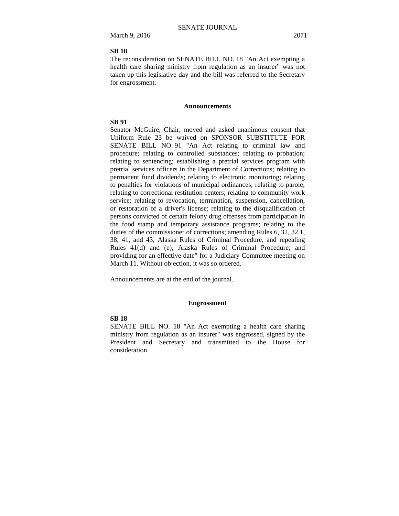#### **SB 18**

The reconsideration on SENATE BILL NO. 18 "An Act exempting a health care sharing ministry from regulation as an insurer" was not taken up this legislative day and the bill was referred to the Secretary for engrossment.

#### **Announcements**

## **SB 91**

Senator McGuire, Chair, moved and asked unanimous consent that Uniform Rule 23 be waived on SPONSOR SUBSTITUTE FOR SENATE BILL NO. 91 "An Act relating to criminal law and procedure; relating to controlled substances; relating to probation; relating to sentencing; establishing a pretrial services program with pretrial services officers in the Department of Corrections; relating to permanent fund dividends; relating to electronic monitoring; relating to penalties for violations of municipal ordinances; relating to parole; relating to correctional restitution centers; relating to community work service; relating to revocation, termination, suspension, cancellation, or restoration of a driver's license; relating to the disqualification of persons convicted of certain felony drug offenses from participation in the food stamp and temporary assistance programs; relating to the duties of the commissioner of corrections; amending Rules 6, 32, 32.1, 38, 41, and 43, Alaska Rules of Criminal Procedure, and repealing Rules 41(d) and (e), Alaska Rules of Criminal Procedure; and providing for an effective date" for a Judiciary Committee meeting on March 11. Without objection, it was so ordered.

Announcements are at the end of the journal.

#### **Engrossment**

## **SB 18**

SENATE BILL NO. 18 "An Act exempting a health care sharing ministry from regulation as an insurer" was engrossed, signed by the President and Secretary and transmitted to the House for consideration.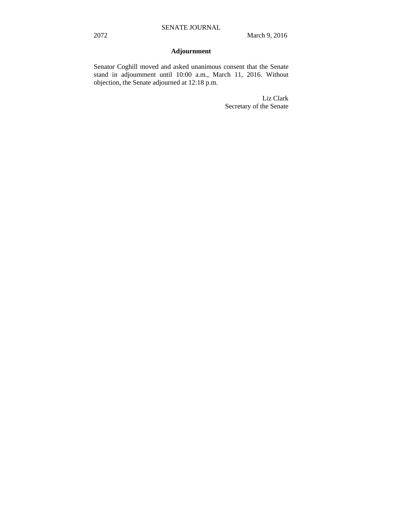# **Adjournment**

Senator Coghill moved and asked unanimous consent that the Senate stand in adjournment until 10:00 a.m., March 11, 2016. Without objection, the Senate adjourned at 12:18 p.m.

> Liz Clark Secretary of the Senate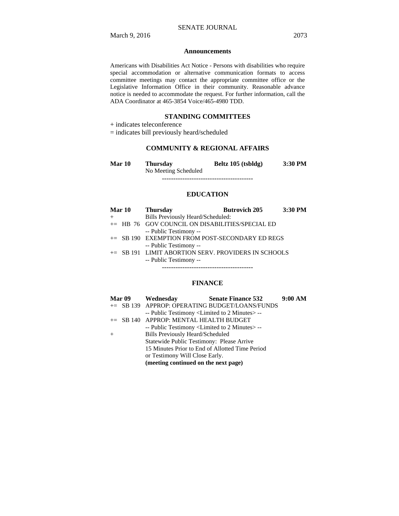#### **Announcements**

Americans with Disabilities Act Notice - Persons with disabilities who require special accommodation or alternative communication formats to access committee meetings may contact the appropriate committee office or the Legislative Information Office in their community. Reasonable advance notice is needed to accommodate the request. For further information, call the ADA Coordinator at 465-3854 Voice/465-4980 TDD.

#### **STANDING COMMITTEES**

 $\pm$  indicates teleconference

= indicates bill previously heard/scheduled

# **COMMUNITY & REGIONAL AFFAIRS**

| Mar 10 | <b>Thursday</b>      | Beltz 105 (tsbldg) | 3:30 PM |
|--------|----------------------|--------------------|---------|
|        | No Meeting Scheduled |                    |         |
|        |                      |                    |         |

### **EDUCATION**

| <b>Mar 10</b> | <b>Thursday</b>                                     | <b>Butrovich 205</b> | $3:30$ PM |
|---------------|-----------------------------------------------------|----------------------|-----------|
|               | Bills Previously Heard/Scheduled:                   |                      |           |
|               | $+=$ HB 76 GOV COUNCIL ON DISABILITIES/SPECIAL ED   |                      |           |
|               | -- Public Testimony --                              |                      |           |
|               | $+=$ SB 190 EXEMPTION FROM POST-SECONDARY ED REGS   |                      |           |
|               | -- Public Testimony --                              |                      |           |
|               | += SB 191 LIMIT ABORTION SERV. PROVIDERS IN SCHOOLS |                      |           |
|               | -- Public Testimony --                              |                      |           |
|               |                                                     |                      |           |

### **FINANCE**

| <b>Mar 09</b> | Wednesday                                                        | <b>Senate Finance 532</b>                      | 9:00 AM |
|---------------|------------------------------------------------------------------|------------------------------------------------|---------|
|               |                                                                  | += SB 139 APPROP: OPERATING BUDGET/LOANS/FUNDS |         |
|               | -- Public Testimony <limited 2="" minutes="" to=""> --</limited> |                                                |         |
|               | += SB 140 APPROP: MENTAL HEALTH BUDGET                           |                                                |         |
|               | -- Public Testimony <limited 2="" minutes="" to="">--</limited>  |                                                |         |
|               | <b>Bills Previously Heard/Scheduled</b>                          |                                                |         |
|               | Statewide Public Testimony: Please Arrive                        |                                                |         |
|               | 15 Minutes Prior to End of Allotted Time Period                  |                                                |         |
|               | or Testimony Will Close Early.                                   |                                                |         |
|               | (meeting continued on the next page)                             |                                                |         |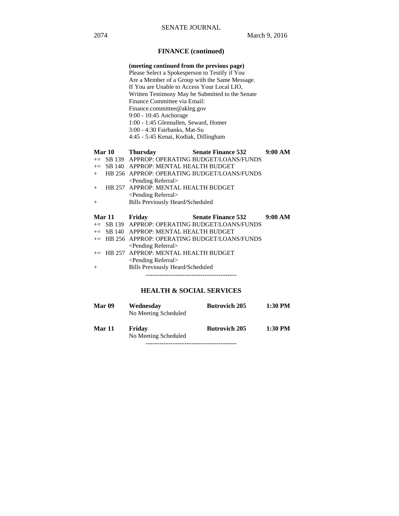# **FINANCE (continued)**

| (meeting continued from the previous page)       |
|--------------------------------------------------|
| Please Select a Spokesperson to Testify if You   |
| Are a Member of a Group with the Same Message.   |
| If You are Unable to Access Your Local LIO.      |
| Written Testimony May be Submitted to the Senate |
| Finance Committee via Email:                     |
| Finance.committee@akleg.gov                      |
| $9:00 - 10:45$ Anchorage                         |
| 1:00 - 1:45 Glennallen, Seward, Homer            |
| 3:00 - 4:30 Fairbanks, Mat-Su                    |
| 4:45 - 5:45 Kenai, Kodiak, Dillingham            |

|     | Mar 10     | <b>Thursday</b>                          | <b>Senate Finance 532</b>                      | 9:00 AM |
|-----|------------|------------------------------------------|------------------------------------------------|---------|
|     |            |                                          | += SB 139 APPROP: OPERATING BUDGET/LOANS/FUNDS |         |
|     |            | $+=$ SB 140 APPROP: MENTAL HEALTH BUDGET |                                                |         |
| $+$ |            |                                          | HB 256 APPROP: OPERATING BUDGET/LOANS/FUNDS    |         |
|     |            | $\le$ Pending Referral $>$               |                                                |         |
|     |            | HB 257 APPROP: MENTAL HEALTH BUDGET      |                                                |         |
|     |            | $\le$ Pending Referral $>$               |                                                |         |
| $+$ |            | <b>Bills Previously Heard/Scheduled</b>  |                                                |         |
|     |            |                                          |                                                |         |
|     | Mar 11     | Fridav                                   | <b>Senate Finance 532</b>                      | 9:00 AM |
|     | $-$ CD 120 |                                          | A DDDOD, ODED A TING DHDCET A OA NG ÆHNDS      |         |

|  | += SB 139 APPROP: OPERATING BUDGET/LOANS/FUNDS |
|--|------------------------------------------------|
|  | $+=$ SB 140 APPROP: MENTAL HEALTH BUDGET       |
|  | += HB 256 APPROP: OPERATING BUDGET/LOANS/FUNDS |
|  | $\le$ Pending Referral $>$                     |
|  | $+=$ HB 257 APPROP: MENTAL HEALTH BUDGET       |
|  | $\le$ Pending Referral $>$                     |
|  | <b>Bills Previously Heard/Scheduled</b>        |
|  |                                                |

----------------------------------------

# **HEALTH & SOCIAL SERVICES**

| <b>Mar 09</b> | Wednesday<br>No Meeting Scheduled | <b>Butrovich 205</b> | 1:30 PM |
|---------------|-----------------------------------|----------------------|---------|
| Mar 11        | Friday<br>No Meeting Scheduled    | <b>Butrovich 205</b> | 1:30 PM |

----------------------------------------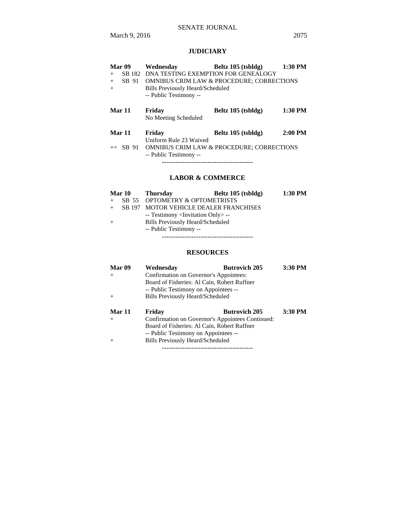# SENATE JOURNAL

March 9, 2016 2075

# **JUDICIARY**

| Mar 09           | Wednesday                                            | Beltz 105 (tsbldg)                                   | $1:30$ PM |
|------------------|------------------------------------------------------|------------------------------------------------------|-----------|
| SB 182<br>$^{+}$ | DNA TESTING EXEMPTION FOR GENEALOGY                  |                                                      |           |
| SB 91<br>$+$     | <b>OMNIBUS CRIM LAW &amp; PROCEDURE; CORRECTIONS</b> |                                                      |           |
| $+$              | <b>Bills Previously Heard/Scheduled</b>              |                                                      |           |
|                  | -- Public Testimony --                               |                                                      |           |
|                  |                                                      |                                                      |           |
| <b>Mar 11</b>    | Friday                                               | Beltz 105 (tsbldg)                                   | $1:30$ PM |
|                  | No Meeting Scheduled                                 |                                                      |           |
| Mar 11           | Friday                                               | Beltz 105 (tsbldg)                                   | $2:00$ PM |
|                  | Uniform Rule 23 Waived                               |                                                      |           |
| $\pm$ SB 91      |                                                      | <b>OMNIBUS CRIM LAW &amp; PROCEDURE: CORRECTIONS</b> |           |
|                  | -- Public Testimony --                               |                                                      |           |
|                  |                                                      |                                                      |           |

# **LABOR & COMMERCE**

|  | Mar 10 Thursday                                   | Beltz 105 (tsbldg) | $1:30$ PM |
|--|---------------------------------------------------|--------------------|-----------|
|  | SB 55 OPTOMETRY & OPTOMETRISTS                    |                    |           |
|  | SB 197 MOTOR VEHICLE DEALER FRANCHISES            |                    |           |
|  | -- Testimony <invitation only=""> --</invitation> |                    |           |
|  | <b>Bills Previously Heard/Scheduled</b>           |                    |           |
|  | -- Public Testimony --                            |                    |           |
|  |                                                   |                    |           |

# **RESOURCES**

| Mar 09 | Wednesdav                                        | <b>Butrovich 205</b> | 3:30 PM |
|--------|--------------------------------------------------|----------------------|---------|
| $+$    | Confirmation on Governor's Appointees:           |                      |         |
|        | Board of Fisheries: Al Cain, Robert Ruffner      |                      |         |
|        | -- Public Testimony on Appointees --             |                      |         |
| $+$    | Bills Previously Heard/Scheduled                 |                      |         |
| Mar 11 | Friday                                           | <b>Butrovich 205</b> | 3:30 PM |
| $+$    | Confirmation on Governor's Appointees Continued: |                      |         |
|        | Board of Fisheries: Al Cain, Robert Ruffner      |                      |         |
|        | -- Public Testimony on Appointees --             |                      |         |
| $+$    | Bills Previously Heard/Scheduled                 |                      |         |
|        |                                                  |                      |         |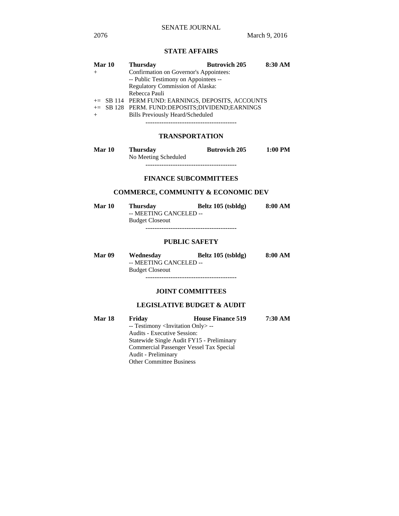# **STATE AFFAIRS**

|     | <b>Mar 10</b> | <b>Thursday</b>                                   | <b>Butrovich 205</b> | 8:30 AM |
|-----|---------------|---------------------------------------------------|----------------------|---------|
| $+$ |               | Confirmation on Governor's Appointees:            |                      |         |
|     |               | -- Public Testimony on Appointees --              |                      |         |
|     |               | Regulatory Commission of Alaska:                  |                      |         |
|     |               | Rebecca Pauli                                     |                      |         |
|     |               | += SB 114 PERM FUND: EARNINGS, DEPOSITS, ACCOUNTS |                      |         |
|     |               | += SB 128 PERM. FUND:DEPOSITS;DIVIDEND;EARNINGS   |                      |         |
|     |               | <b>Bills Previously Heard/Scheduled</b>           |                      |         |
|     |               |                                                   |                      |         |

# **TRANSPORTATION**

| <b>Mar 10</b> | <b>Thursday</b>      | <b>Butrovich 205</b> | 1:00 PM |
|---------------|----------------------|----------------------|---------|
|               | No Meeting Scheduled |                      |         |
|               |                      |                      |         |

#### **FINANCE SUBCOMMITTEES**

# **COMMERCE, COMMUNITY & ECONOMIC DEV**

| <b>Mar 10</b> | <b>Thursday</b>        | Beltz 105 (tsbldg) | 8:00 AM |
|---------------|------------------------|--------------------|---------|
|               | -- MEETING CANCELED -- |                    |         |
|               | <b>Budget Closeout</b> |                    |         |
|               |                        |                    |         |

#### **PUBLIC SAFETY**

| <b>Mar 09</b> | Wednesday              | Beltz 105 (tsbldg) | 8:00 AM |
|---------------|------------------------|--------------------|---------|
|               | -- MEETING CANCELED -- |                    |         |
|               | <b>Budget Closeout</b> |                    |         |
|               |                        |                    |         |

#### **JOINT COMMITTEES**

# **LEGISLATIVE BUDGET & AUDIT**

| Mar 18 | Friday                                            | <b>House Finance 519</b> | 7:30 AM |  |  |
|--------|---------------------------------------------------|--------------------------|---------|--|--|
|        | -- Testimony <invitation only=""> --</invitation> |                          |         |  |  |
|        | <b>Audits - Executive Session:</b>                |                          |         |  |  |
|        | Statewide Single Audit FY15 - Preliminary         |                          |         |  |  |
|        | Commercial Passenger Vessel Tax Special           |                          |         |  |  |
|        | Audit - Preliminary                               |                          |         |  |  |
|        | <b>Other Committee Business</b>                   |                          |         |  |  |